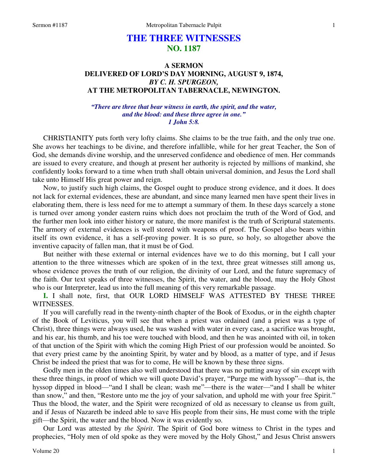# **THE THREE WITNESSES NO. 1187**

## **A SERMON DELIVERED OF LORD'S DAY MORNING, AUGUST 9, 1874,**  *BY C. H. SPURGEON,*  **AT THE METROPOLITAN TABERNACLE, NEWINGTON.**

### *"There are three that bear witness in earth, the spirit, and the water, and the blood: and these three agree in one." 1 John 5:8.*

CHRISTIANITY puts forth very lofty claims. She claims to be the true faith, and the only true one. She avows her teachings to be divine, and therefore infallible, while for her great Teacher, the Son of God, she demands divine worship, and the unreserved confidence and obedience of men. Her commands are issued to every creature, and though at present her authority is rejected by millions of mankind, she confidently looks forward to a time when truth shall obtain universal dominion, and Jesus the Lord shall take unto Himself His great power and reign.

Now, to justify such high claims, the Gospel ought to produce strong evidence, and it does. It does not lack for external evidences, these are abundant, and since many learned men have spent their lives in elaborating them, there is less need for me to attempt a summary of them. In these days scarcely a stone is turned over among yonder eastern ruins which does not proclaim the truth of the Word of God, and the further men look into either history or nature, the more manifest is the truth of Scriptural statements. The armory of external evidences is well stored with weapons of proof. The Gospel also bears within itself its own evidence, it has a self-proving power. It is so pure, so holy, so altogether above the inventive capacity of fallen man, that it must be of God.

But neither with these external or internal evidences have we to do this morning, but I call your attention to the three witnesses which are spoken of in the text, three great witnesses still among us, whose evidence proves the truth of our religion, the divinity of our Lord, and the future supremacy of the faith. Our text speaks of three witnesses, the Spirit, the water, and the blood, may the Holy Ghost who is our Interpreter, lead us into the full meaning of this very remarkable passage.

**I.** I shall note, first, that OUR LORD HIMSELF WAS ATTESTED BY THESE THREE WITNESSES.

If you will carefully read in the twenty-ninth chapter of the Book of Exodus, or in the eighth chapter of the Book of Leviticus, you will see that when a priest was ordained (and a priest was a type of Christ), three things were always used, he was washed with water in every case, a sacrifice was brought, and his ear, his thumb, and his toe were touched with blood, and then he was anointed with oil, in token of that unction of the Spirit with which the coming High Priest of our profession would be anointed. So that every priest came by the anointing Spirit, by water and by blood, as a matter of type, and if Jesus Christ be indeed the priest that was for to come, He will be known by these three signs.

Godly men in the olden times also well understood that there was no putting away of sin except with these three things, in proof of which we will quote David's prayer, "Purge me with hyssop"—that is, the hyssop dipped in blood—"and I shall be clean; wash me"—there is the water—"and I shall be whiter than snow," and then, "Restore unto me the joy of your salvation, and uphold me with your free Spirit." Thus the blood, the water, and the Spirit were recognized of old as necessary to cleanse us from guilt, and if Jesus of Nazareth be indeed able to save His people from their sins, He must come with the triple gift—the Spirit, the water and the blood. Now it was evidently so.

Our Lord was attested by *the Spirit*. The Spirit of God bore witness to Christ in the types and prophecies, "Holy men of old spoke as they were moved by the Holy Ghost," and Jesus Christ answers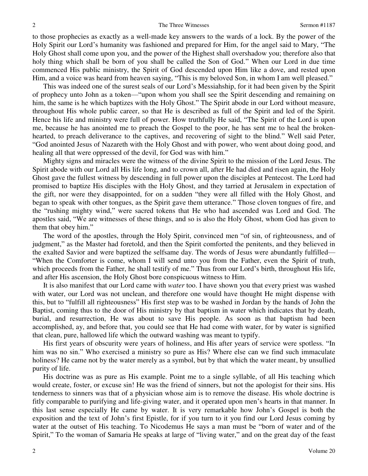to those prophecies as exactly as a well-made key answers to the wards of a lock. By the power of the Holy Spirit our Lord's humanity was fashioned and prepared for Him, for the angel said to Mary, "The Holy Ghost shall come upon you, and the power of the Highest shall overshadow you; therefore also that holy thing which shall be born of you shall be called the Son of God." When our Lord in due time commenced His public ministry, the Spirit of God descended upon Him like a dove, and rested upon Him, and a voice was heard from heaven saying, "This is my beloved Son, in whom I am well pleased."

This was indeed one of the surest seals of our Lord's Messiahship, for it had been given by the Spirit of prophecy unto John as a token—"upon whom you shall see the Spirit descending and remaining on him, the same is he which baptizes with the Holy Ghost." The Spirit abode in our Lord without measure, throughout His whole public career, so that He is described as full of the Spirit and led of the Spirit. Hence his life and ministry were full of power. How truthfully He said, "The Spirit of the Lord is upon me, because he has anointed me to preach the Gospel to the poor, he has sent me to heal the brokenhearted, to preach deliverance to the captives, and recovering of sight to the blind." Well said Peter, "God anointed Jesus of Nazareth with the Holy Ghost and with power, who went about doing good, and healing all that were oppressed of the devil, for God was with him."

Mighty signs and miracles were the witness of the divine Spirit to the mission of the Lord Jesus. The Spirit abode with our Lord all His life long, and to crown all, after He had died and risen again, the Holy Ghost gave the fullest witness by descending in full power upon the disciples at Pentecost. The Lord had promised to baptize His disciples with the Holy Ghost, and they tarried at Jerusalem in expectation of the gift, nor were they disappointed, for on a sudden "they were all filled with the Holy Ghost, and began to speak with other tongues, as the Spirit gave them utterance." Those cloven tongues of fire, and the "rushing mighty wind," were sacred tokens that He who had ascended was Lord and God. The apostles said, "We are witnesses of these things, and so is also the Holy Ghost, whom God has given to them that obey him."

The word of the apostles, through the Holy Spirit, convinced men "of sin, of righteousness, and of judgment," as the Master had foretold, and then the Spirit comforted the penitents, and they believed in the exalted Savior and were baptized the selfsame day. The words of Jesus were abundantly fulfilled— "When the Comforter is come, whom I will send unto you from the Father, even the Spirit of truth, which proceeds from the Father, he shall testify of me." Thus from our Lord's birth, throughout His life, and after His ascension, the Holy Ghost bore conspicuous witness to Him.

It is also manifest that our Lord came with *water* too. I have shown you that every priest was washed with water, our Lord was not unclean, and therefore one would have thought He might dispense with this, but to "fulfill all righteousness" His first step was to be washed in Jordan by the hands of John the Baptist, coming thus to the door of His ministry by that baptism in water which indicates that by death, burial, and resurrection, He was about to save His people. As soon as that baptism had been accomplished, ay, and before that, you could see that He had come with water, for by water is signified that clean, pure, hallowed life which the outward washing was meant to typify.

His first years of obscurity were years of holiness, and His after years of service were spotless. "In him was no sin." Who exercised a ministry so pure as His? Where else can we find such immaculate holiness? He came not by the water merely as a symbol, but by that which the water meant, by unsullied purity of life.

His doctrine was as pure as His example. Point me to a single syllable, of all His teaching which would create, foster, or excuse sin! He was the friend of sinners, but not the apologist for their sins. His tenderness to sinners was that of a physician whose aim is to remove the disease. His whole doctrine is fitly comparable to purifying and life-giving water, and it operated upon men's hearts in that manner. In this last sense especially He came by water. It is very remarkable how John's Gospel is both the exposition and the text of John's first Epistle, for if you turn to it you find our Lord Jesus coming by water at the outset of His teaching. To Nicodemus He says a man must be "born of water and of the Spirit," To the woman of Samaria He speaks at large of "living water," and on the great day of the feast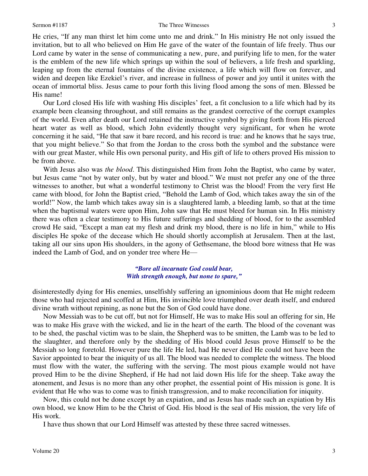He cries, "If any man thirst let him come unto me and drink." In His ministry He not only issued the invitation, but to all who believed on Him He gave of the water of the fountain of life freely. Thus our Lord came by water in the sense of communicating a new, pure, and purifying life to men, for the water is the emblem of the new life which springs up within the soul of believers, a life fresh and sparkling, leaping up from the eternal fountains of the divine existence, a life which will flow on forever, and widen and deepen like Ezekiel's river, and increase in fullness of power and joy until it unites with the ocean of immortal bliss. Jesus came to pour forth this living flood among the sons of men. Blessed be His name!

Our Lord closed His life with washing His disciples' feet, a fit conclusion to a life which had by its example been cleansing throughout, and still remains as the grandest corrective of the corrupt examples of the world. Even after death our Lord retained the instructive symbol by giving forth from His pierced heart water as well as blood, which John evidently thought very significant, for when he wrote concerning it he said, "He that saw it bare record, and his record is true: and he knows that he says true, that you might believe." So that from the Jordan to the cross both the symbol and the substance were with our great Master, while His own personal purity, and His gift of life to others proved His mission to be from above.

With Jesus also was *the blood*. This distinguished Him from John the Baptist, who came by water, but Jesus came "not by water only, but by water and blood." We must not prefer any one of the three witnesses to another, but what a wonderful testimony to Christ was the blood! From the very first He came with blood, for John the Baptist cried, "Behold the Lamb of God, which takes away the sin of the world!" Now, the lamb which takes away sin is a slaughtered lamb, a bleeding lamb, so that at the time when the baptismal waters were upon Him, John saw that He must bleed for human sin. In His ministry there was often a clear testimony to His future sufferings and shedding of blood, for to the assembled crowd He said, "Except a man eat my flesh and drink my blood, there is no life in him," while to His disciples He spoke of the decease which He should shortly accomplish at Jerusalem. Then at the last, taking all our sins upon His shoulders, in the agony of Gethsemane, the blood bore witness that He was indeed the Lamb of God, and on yonder tree where He—

> *"Bore all incarnate God could bear, With strength enough, but none to spare,"*

disinterestedly dying for His enemies, unselfishly suffering an ignominious doom that He might redeem those who had rejected and scoffed at Him, His invincible love triumphed over death itself, and endured divine wrath without repining, as none but the Son of God could have done.

 Now Messiah was to be cut off, but not for Himself, He was to make His soul an offering for sin, He was to make His grave with the wicked, and lie in the heart of the earth. The blood of the covenant was to be shed, the paschal victim was to be slain, the Shepherd was to be smitten, the Lamb was to be led to the slaughter, and therefore only by the shedding of His blood could Jesus prove Himself to be the Messiah so long foretold. However pure the life He led, had He never died He could not have been the Savior appointed to bear the iniquity of us all. The blood was needed to complete the witness. The blood must flow with the water, the suffering with the serving. The most pious example would not have proved Him to be the divine Shepherd, if He had not laid down His life for the sheep. Take away the atonement, and Jesus is no more than any other prophet, the essential point of His mission is gone. It is evident that He who was to come was to finish transgression, and to make reconciliation for iniquity.

 Now, this could not be done except by an expiation, and as Jesus has made such an expiation by His own blood, we know Him to be the Christ of God. His blood is the seal of His mission, the very life of His work.

I have thus shown that our Lord Himself was attested by these three sacred witnesses.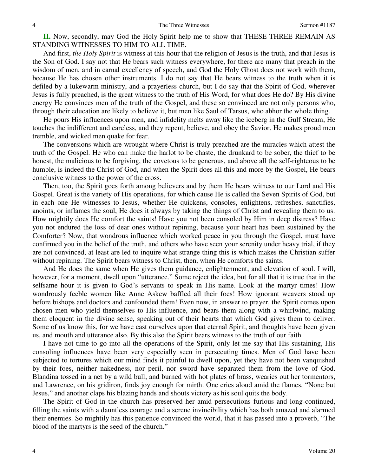**II.** Now, secondly, may God the Holy Spirit help me to show that THESE THREE REMAIN AS STANDING WITNESSES TO HIM TO ALL TIME.

And first, *the Holy Spirit* is witness at this hour that the religion of Jesus is the truth, and that Jesus is the Son of God. I say not that He bears such witness everywhere, for there are many that preach in the wisdom of men, and in carnal excellency of speech, and God the Holy Ghost does not work with them, because He has chosen other instruments. I do not say that He bears witness to the truth when it is defiled by a lukewarm ministry, and a prayerless church, but I do say that the Spirit of God, wherever Jesus is fully preached, is the great witness to the truth of His Word, for what does He do? By His divine energy He convinces men of the truth of the Gospel, and these so convinced are not only persons who, through their education are likely to believe it, but men like Saul of Tarsus, who abhor the whole thing.

He pours His influences upon men, and infidelity melts away like the iceberg in the Gulf Stream, He touches the indifferent and careless, and they repent, believe, and obey the Savior. He makes proud men tremble, and wicked men quake for fear.

The conversions which are wrought where Christ is truly preached are the miracles which attest the truth of the Gospel. He who can make the harlot to be chaste, the drunkard to be sober, the thief to be honest, the malicious to be forgiving, the covetous to be generous, and above all the self-righteous to be humble, is indeed the Christ of God, and when the Spirit does all this and more by the Gospel, He bears conclusive witness to the power of the cross.

Then, too, the Spirit goes forth among believers and by them He bears witness to our Lord and His Gospel. Great is the variety of His operations, for which cause He is called the Seven Spirits of God, but in each one He witnesses to Jesus, whether He quickens, consoles, enlightens, refreshes, sanctifies, anoints, or inflames the soul, He does it always by taking the things of Christ and revealing them to us. How mightily does He comfort the saints! Have you not been consoled by Him in deep distress? Have you not endured the loss of dear ones without repining, because your heart has been sustained by the Comforter? Now, that wondrous influence which worked peace in you through the Gospel, must have confirmed you in the belief of the truth, and others who have seen your serenity under heavy trial, if they are not convinced, at least are led to inquire what strange thing this is which makes the Christian suffer without repining. The Spirit bears witness to Christ, then, when He comforts the saints.

And He does the same when He gives them guidance, enlightenment, and elevation of soul. I will, however, for a moment, dwell upon "utterance." Some reject the idea, but for all that it is true that in the selfsame hour it is given to God's servants to speak in His name. Look at the martyr times! How wondrously feeble women like Anne Askew baffled all their foes! How ignorant weavers stood up before bishops and doctors and confounded them! Even now, in answer to prayer, the Spirit comes upon chosen men who yield themselves to His influence, and bears them along with a whirlwind, making them eloquent in the divine sense, speaking out of their hearts that which God gives them to deliver. Some of us know this, for we have cast ourselves upon that eternal Spirit, and thoughts have been given us, and mouth and utterance also. By this also the Spirit bears witness to the truth of our faith.

I have not time to go into all the operations of the Spirit, only let me say that His sustaining, His consoling influences have been very especially seen in persecuting times. Men of God have been subjected to tortures which our mind finds it painful to dwell upon, yet they have not been vanquished by their foes, neither nakedness, nor peril, nor sword have separated them from the love of God. Blandina tossed in a net by a wild bull, and burned with hot plates of brass, wearies out her tormentors, and Lawrence, on his gridiron, finds joy enough for mirth. One cries aloud amid the flames, "None but Jesus," and another claps his blazing hands and shouts victory as his soul quits the body.

The Spirit of God in the church has preserved her amid persecutions furious and long-continued, filling the saints with a dauntless courage and a serene invincibility which has both amazed and alarmed their enemies. So mightily has this patience convinced the world, that it has passed into a proverb, "The blood of the martyrs is the seed of the church."

4

4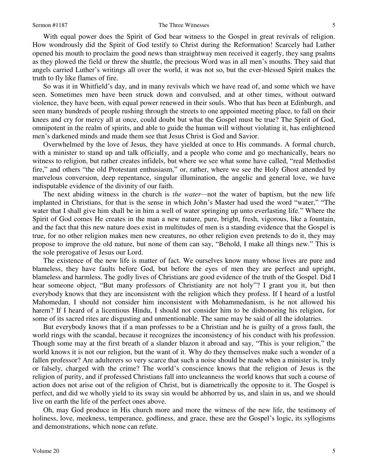With equal power does the Spirit of God bear witness to the Gospel in great revivals of religion. How wondrously did the Spirit of God testify to Christ during the Reformation! Scarcely had Luther opened his mouth to proclaim the good news than straightway men received it eagerly, they sang psalms as they plowed the field or threw the shuttle, the precious Word was in all men's mouths. They said that angels carried Luther's writings all over the world, it was not so, but the ever-blessed Spirit makes the truth to fly like flames of fire.

So was it in Whitfield's day, and in many revivals which we have read of, and some which we have seen. Sometimes men have been struck down and convulsed, and at other times, without outward violence, they have been, with equal power renewed in their souls. Who that has been at Edinburgh, and seen many hundreds of people rushing through the streets to one appointed meeting place, to fall on their knees and cry for mercy all at once, could doubt but what the Gospel must be true? The Spirit of God, omnipotent in the realm of spirits, and able to guide the human will without violating it, has enlightened men's darkened minds and made them see that Jesus Christ is God and Savior.

Overwhelmed by the love of Jesus, they have yielded at once to His commands. A formal church, with a minister to stand up and talk officially, and a people who come and go mechanically, bears no witness to religion, but rather creates infidels, but where we see what some have called, "real Methodist fire," and others "the old Protestant enthusiasm," or, rather, where we see the Holy Ghost attended by marvelous conversion, deep repentance, singular illumination, the angelic and general love, we have indisputable evidence of the divinity of our faith.

The next abiding witness in the church is *the water—*not the water of baptism, but the new life implanted in Christians, for that is the sense in which John's Master had used the word "water," "The water that I shall give him shall be in him a well of water springing up unto everlasting life." Where the Spirit of God comes He creates in the man a new nature, pure, bright, fresh, vigorous, like a fountain, and the fact that this new nature does exist in multitudes of men is a standing evidence that the Gospel is true, for no other religion makes men new creatures, no other religion even pretends to do it, they may propose to improve the old nature, but none of them can say, "Behold, I make all things new." This is the sole prerogative of Jesus our Lord.

The existence of the new life is matter of fact. We ourselves know many whose lives are pure and blameless, they have faults before God, but before the eyes of men they are perfect and upright, blameless and harmless. The godly lives of Christians are good evidence of the truth of the Gospel. Did I hear someone object, "But many professors of Christianity are not holy"? I grant you it, but then everybody knows that they are inconsistent with the religion which they profess. If I heard of a lustful Mahomedan, I should not consider him inconsistent with Mohammedanism, is he not allowed his harem? If I heard of a licentious Hindu, I should not consider him to be dishonoring his religion, for some of its sacred rites are disgusting and unmentionable. The same may be said of all the idolatries.

But everybody knows that if a man professes to be a Christian and he is guilty of a gross fault, the world rings with the scandal, because it recognizes the inconsistency of his conduct with his profession. Though some may at the first breath of a slander blazon it abroad and say, "This is your religion," the world knows it is not our religion, but the want of it. Why do they themselves make such a wonder of a fallen professor? Are adulterers so very scarce that such a noise should be made when a minister is, truly or falsely, charged with the crime? The world's conscience knows that the religion of Jesus is the religion of purity, and if professed Christians fall into uncleanness the world knows that such a course of action does not arise out of the religion of Christ, but is diametrically the opposite to it. The Gospel is perfect, and did we wholly yield to its sway sin would be abhorred by us, and slain in us, and we should live on earth the life of the perfect ones above.

Oh, may God produce in His church more and more the witness of the new life, the testimony of holiness, love, meekness, temperance, godliness, and grace, these are the Gospel's logic, its syllogisms and demonstrations, which none can refute.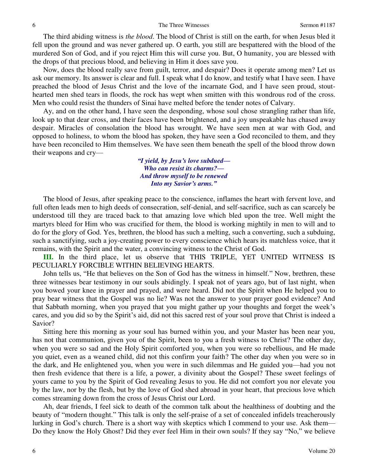The third abiding witness is *the blood*. The blood of Christ is still on the earth, for when Jesus bled it fell upon the ground and was never gathered up. O earth, you still are bespattered with the blood of the murdered Son of God, and if you reject Him this will curse you. But, O humanity, you are blessed with the drops of that precious blood, and believing in Him it does save you.

Now, does the blood really save from guilt, terror, and despair? Does it operate among men? Let us ask our memory. Its answer is clear and full. I speak what I do know, and testify what I have seen. I have preached the blood of Jesus Christ and the love of the incarnate God, and I have seen proud, stouthearted men shed tears in floods, the rock has wept when smitten with this wondrous rod of the cross. Men who could resist the thunders of Sinai have melted before the tender notes of Calvary.

Ay, and on the other hand, I have seen the desponding, whose soul chose strangling rather than life, look up to that dear cross, and their faces have been brightened, and a joy unspeakable has chased away despair. Miracles of consolation the blood has wrought. We have seen men at war with God, and opposed to holiness, to whom the blood has spoken, they have seen a God reconciled to them, and they have been reconciled to Him themselves. We have seen them beneath the spell of the blood throw down their weapons and cry—

> *"I yield, by Jesu's love subdued— Who can resist its charms?— And throw myself to be renewed Into my Savior's arms."*

 The blood of Jesus, after speaking peace to the conscience, inflames the heart with fervent love, and full often leads men to high deeds of consecration, self-denial, and self-sacrifice, such as can scarcely be understood till they are traced back to that amazing love which bled upon the tree. Well might the martyrs bleed for Him who was crucified for them, the blood is working mightily in men to will and to do for the glory of God. Yes, brethren, the blood has such a melting, such a converting, such a subduing, such a sanctifying, such a joy-creating power to every conscience which hears its matchless voice, that it remains, with the Spirit and the water, a convincing witness to the Christ of God.

**III.** In the third place, let us observe that THIS TRIPLE, YET UNITED WITNESS IS PECULIARLY FORCIBLE WITHIN BELIEVING HEARTS.

John tells us, "He that believes on the Son of God has the witness in himself." Now, brethren, these three witnesses bear testimony in our souls abidingly. I speak not of years ago, but of last night, when you bowed your knee in prayer and prayed, and were heard. Did not the Spirit when He helped you to pray bear witness that the Gospel was no lie? Was not the answer to your prayer good evidence? And that Sabbath morning, when you prayed that you might gather up your thoughts and forget the week's cares, and you did so by the Spirit's aid, did not this sacred rest of your soul prove that Christ is indeed a Savior?

Sitting here this morning as your soul has burned within you, and your Master has been near you, has not that communion, given you of the Spirit, been to you a fresh witness to Christ? The other day, when you were so sad and the Holy Spirit comforted you, when you were so rebellious, and He made you quiet, even as a weaned child, did not this confirm your faith? The other day when you were so in the dark, and He enlightened you, when you were in such dilemmas and He guided you—had you not then fresh evidence that there is a life, a power, a divinity about the Gospel? These sweet feelings of yours came to you by the Spirit of God revealing Jesus to you. He did not comfort you nor elevate you by the law, nor by the flesh, but by the love of God shed abroad in your heart, that precious love which comes streaming down from the cross of Jesus Christ our Lord.

Ah, dear friends, I feel sick to death of the common talk about the healthiness of doubting and the beauty of "modern thought." This talk is only the self-praise of a set of concealed infidels treacherously lurking in God's church. There is a short way with skeptics which I commend to your use. Ask them— Do they know the Holy Ghost? Did they ever feel Him in their own souls? If they say "No," we believe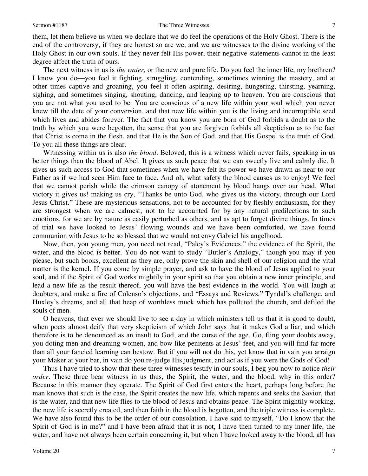them, let them believe us when we declare that we do feel the operations of the Holy Ghost. There is the end of the controversy, if they are honest so are we, and we are witnesses to the divine working of the Holy Ghost in our own souls. If they never felt His power, their negative statements cannot in the least degree affect the truth of ours.

The next witness in us is *the water,* or the new and pure life. Do you feel the inner life, my brethren? I know you do—you feel it fighting, struggling, contending, sometimes winning the mastery, and at other times captive and groaning, you feel it often aspiring, desiring, hungering, thirsting, yearning, sighing, and sometimes singing, shouting, dancing, and leaping up to heaven. You are conscious that you are not what you used to be. You are conscious of a new life within your soul which you never knew till the date of your conversion, and that new life within you is the living and incorruptible seed which lives and abides forever. The fact that you know you are born of God forbids a doubt as to the truth by which you were begotten, the sense that you are forgiven forbids all skepticism as to the fact that Christ is come in the flesh, and that He is the Son of God, and that His Gospel is the truth of God. To you all these things are clear.

Witnessing within us is also *the blood*. Beloved, this is a witness which never fails, speaking in us better things than the blood of Abel. It gives us such peace that we can sweetly live and calmly die. It gives us such access to God that sometimes when we have felt its power we have drawn as near to our Father as if we had seen Him face to face. And oh, what safety the blood causes us to enjoy! We feel that we cannot perish while the crimson canopy of atonement by blood hangs over our head. What victory it gives us! making us cry, "Thanks be unto God, who gives us the victory, through our Lord Jesus Christ." These are mysterious sensations, not to be accounted for by fleshly enthusiasm, for they are strongest when we are calmest, not to be accounted for by any natural predilections to such emotions, for we are by nature as easily perturbed as others, and as apt to forget divine things. In times of trial we have looked to Jesus' flowing wounds and we have been comforted, we have found communion with Jesus to be so blessed that we would not envy Gabriel his angelhood.

Now, then, you young men, you need not read, "Paley's Evidences," the evidence of the Spirit, the water, and the blood is better. You do not want to study "Butler's Analogy," though you may if you please, but such books, excellent as they are, only prove the skin and shell of our religion and the vital matter is the kernel. If you come by simple prayer, and ask to have the blood of Jesus applied to your soul, and if the Spirit of God works mightily in your spirit so that you obtain a new inner principle, and lead a new life as the result thereof, you will have the best evidence in the world. You will laugh at doubters, and make a fire of Colenso's objections, and "Essays and Reviews," Tyndal's challenge, and Huxley's dreams, and all that heap of worthless muck which has polluted the church, and defiled the souls of men.

O heavens, that ever we should live to see a day in which ministers tell us that it is good to doubt, when poets almost deify that very skepticism of which John says that it makes God a liar, and which therefore is to be denounced as an insult to God, and the curse of the age. Go, fling your doubts away, you doting men and dreaming women, and bow like penitents at Jesus' feet, and you will find far more than all your fancied learning can bestow. But if you will not do this, yet know that in vain you arraign your Maker at your bar, in vain do you re-judge His judgment, and act as if you were the Gods of God!

Thus I have tried to show that these three witnesses testify in our souls, I beg you now to notice *their order*. These three bear witness in us thus, the Spirit, the water, and the blood, why in this order? Because in this manner they operate. The Spirit of God first enters the heart, perhaps long before the man knows that such is the case, the Spirit creates the new life, which repents and seeks the Savior, that is the water, and that new life flies to the blood of Jesus and obtains peace. The Spirit mightily working, the new life is secretly created, and then faith in the blood is begotten, and the triple witness is complete. We have also found this to be the order of our consolation. I have said to myself, "Do I know that the Spirit of God is in me?" and I have been afraid that it is not, I have then turned to my inner life, the water, and have not always been certain concerning it, but when I have looked away to the blood, all has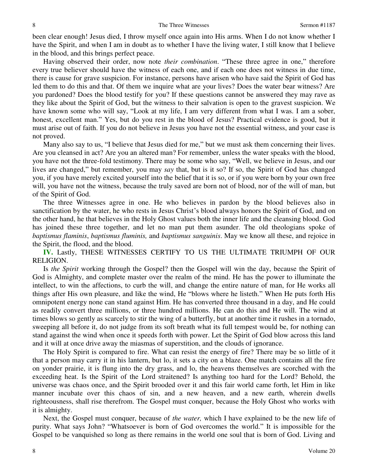been clear enough! Jesus died, I throw myself once again into His arms. When I do not know whether I have the Spirit, and when I am in doubt as to whether I have the living water, I still know that I believe in the blood, and this brings perfect peace.

Having observed their order, now note *their combination*. "These three agree in one," therefore every true believer should have the witness of each one, and if each one does not witness in due time, there is cause for grave suspicion. For instance, persons have arisen who have said the Spirit of God has led them to do this and that. Of them we inquire what are your lives? Does the water bear witness? Are you pardoned? Does the blood testify for you? If these questions cannot be answered they may rave as they like about the Spirit of God, but the witness to their salvation is open to the gravest suspicion. We have known some who will say, "Look at my life, I am very different from what I was. I am a sober, honest, excellent man." Yes, but do you rest in the blood of Jesus? Practical evidence is good, but it must arise out of faith. If you do not believe in Jesus you have not the essential witness, and your case is not proved.

Many also say to us, "I believe that Jesus died for me," but we must ask them concerning their lives. Are you cleansed in act? Are you an altered man? For remember, unless the water speaks with the blood, you have not the three-fold testimony. There may be some who say, "Well, we believe in Jesus, and our lives are changed," but remember, you may *say* that, but is it so? If so, the Spirit of God has changed you, if you have merely excited yourself into the belief that it is so, or if you were born by your own free will, you have not the witness, because the truly saved are born not of blood, nor of the will of man, but of the Spirit of God.

The three Witnesses agree in one. He who believes in pardon by the blood believes also in sanctification by the water, he who rests in Jesus Christ's blood always honors the Spirit of God, and on the other hand, he that believes in the Holy Ghost values both the inner life and the cleansing blood. God has joined these three together, and let no man put them asunder. The old theologians spoke of *baptismus flaminis*, *baptismus fluminis,* and *baptismus sanguinis*. May we know all these, and rejoice in the Spirit, the flood, and the blood.

**IV.** Lastly, THESE WITNESSES CERTIFY TO US THE ULTIMATE TRIUMPH OF OUR RELIGION.

Is *the Spirit* working through the Gospel? then the Gospel will win the day, because the Spirit of God is Almighty, and complete master over the realm of the mind. He has the power to illuminate the intellect, to win the affections, to curb the will, and change the entire nature of man, for He works all things after His own pleasure, and like the wind, He "blows where he listeth." When He puts forth His omnipotent energy none can stand against Him. He has converted three thousand in a day, and He could as readily convert three millions, or three hundred millions. He can do this and He will. The wind at times blows so gently as scarcely to stir the wing of a butterfly, but at another time it rushes in a tornado, sweeping all before it, do not judge from its soft breath what its full tempest would be, for nothing can stand against the wind when once it speeds forth with power. Let the Spirit of God blow across this land and it will at once drive away the miasmas of superstition, and the clouds of ignorance.

The Holy Spirit is compared to fire. What can resist the energy of fire? There may be so little of it that a person may carry it in his lantern, but lo, it sets a city on a blaze. One match contains all the fire on yonder prairie, it is flung into the dry grass, and lo, the heavens themselves are scorched with the exceeding heat. Is the Spirit of the Lord straitened? Is anything too hard for the Lord? Behold, the universe was chaos once, and the Spirit brooded over it and this fair world came forth, let Him in like manner incubate over this chaos of sin, and a new heaven, and a new earth, wherein dwells righteousness, shall rise therefrom. The Gospel must conquer, because the Holy Ghost who works with it is almighty.

Next, the Gospel must conquer, because of *the water,* which I have explained to be the new life of purity. What says John? "Whatsoever is born of God overcomes the world." It is impossible for the Gospel to be vanquished so long as there remains in the world one soul that is born of God. Living and